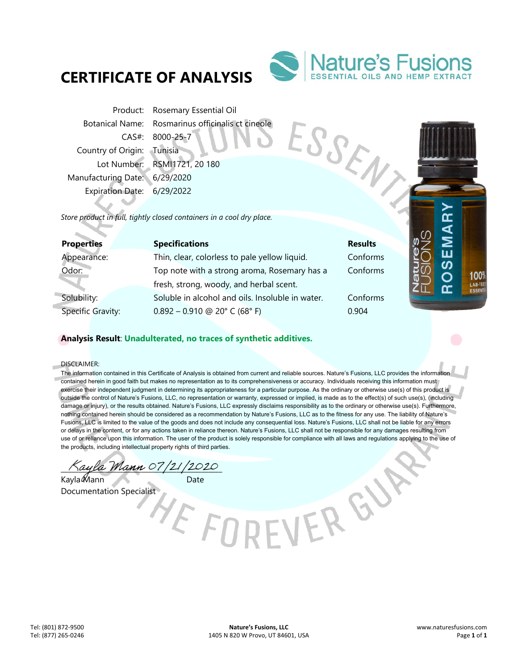# **CERTIFICATE OF ANALYSIS**



ESSENT

Product: Rosemary Essential Oil Botanical Name: Rosmarinus officinalis ct cineole CAS#: 8000-25-7 Country of Origin: Tunisia Lot Number: RSMI1721, 20 180 Manufacturing Date: 6/29/2020 Expiration Date: 6/29/2022

*Store product in full, tightly closed containers in a cool dry place.* 

| <b>Properties</b>        | <b>Specifications</b>                            | <b>Results</b> |
|--------------------------|--------------------------------------------------|----------------|
| Appearance:              | Thin, clear, colorless to pale yellow liquid.    | Conforms       |
| Odor:                    | Top note with a strong aroma, Rosemary has a     | Conforms       |
|                          | fresh, strong, woody, and herbal scent.          |                |
| Solubility:              | Soluble in alcohol and oils. Insoluble in water. | Conforms       |
| <b>Specific Gravity:</b> | $0.892 - 0.910$ @ 20° C (68° F)                  | 0.904          |

# **Analysis Result**: **Unadulterated, no traces of synthetic additives.**

## DISCLAIMER:

a)

The information contained in this Certificate of Analysis is obtained from current and reliable sources. Nature's Fusions, LLC provides the information contained herein in good faith but makes no representation as to its comprehensiveness or accuracy. Individuals receiving this information must exercise their independent judgment in determining its appropriateness for a particular purpose. As the ordinary or otherwise use(s) of this product is outside the control of Nature's Fusions, LLC, no representation or warranty, expressed or implied, is made as to the effect(s) of such use(s), (including damage or injury), or the results obtained. Nature's Fusions, LLC expressly disclaims responsibility as to the ordinary or otherwise use(s). Furthermore, nothing contained herein should be considered as a recommendation by Nature's Fusions, LLC as to the fitness for any use. The liability of Nature's Fusions, LLC is limited to the value of the goods and does not include any consequential loss. Nature's Fusions, LLC shall not be liable for any errors or delays in the content, or for any actions taken in reliance thereon. Nature's Fusions, LLC shall not be responsible for any damages resulting from use of or reliance upon this information. The user of the product is solely responsible for compliance with all laws and regulations applying to the use of the products, including intellectual property rights of third parties.

Kayla Mann 07/21/2020

Kayla Mann<br>Documentation Specialist<br>
FODFVFR Documentation Specialist

.<br>ص

≃

100% LAB-TE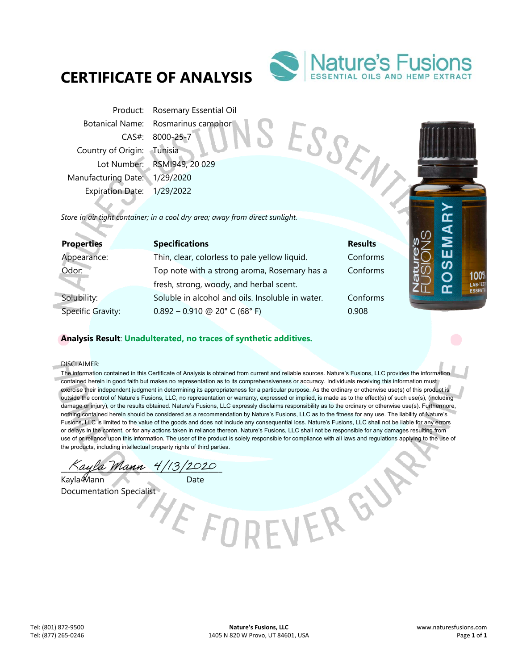# **CERTIFICATE OF ANALYSIS**



SESSENT

Product: Rosemary Essential Oil Botanical Name: Rosmarinus camphor CAS#: 8000-25-7 Country of Origin: Tunisia Lot Number: RSMI949, 20 029 Manufacturing Date: 1/29/2020 Expiration Date: 1/29/2022

*Store in air tight container; in a cool dry area; away from direct sunlight.* 

| <b>Properties</b> | <b>Specifications</b>                            | <b>Results</b> |
|-------------------|--------------------------------------------------|----------------|
| Appearance:       | Thin, clear, colorless to pale yellow liquid.    | Conforms       |
| Odor:             | Top note with a strong aroma, Rosemary has a     | Conforms       |
|                   | fresh, strong, woody, and herbal scent.          |                |
| Solubility:       | Soluble in alcohol and oils. Insoluble in water. | Conforms       |
| Specific Gravity: | $0.892 - 0.910$ @ 20° C (68° F)                  | 0.908          |

# **Analysis Result**: **Unadulterated, no traces of synthetic additives.**

## DISCLAIMER:

a.

The information contained in this Certificate of Analysis is obtained from current and reliable sources. Nature's Fusions, LLC provides the information contained herein in good faith but makes no representation as to its comprehensiveness or accuracy. Individuals receiving this information must exercise their independent judgment in determining its appropriateness for a particular purpose. As the ordinary or otherwise use(s) of this product is outside the control of Nature's Fusions, LLC, no representation or warranty, expressed or implied, is made as to the effect(s) of such use(s), (including damage or injury), or the results obtained. Nature's Fusions, LLC expressly disclaims responsibility as to the ordinary or otherwise use(s). Furthermore, nothing contained herein should be considered as a recommendation by Nature's Fusions, LLC as to the fitness for any use. The liability of Nature's Fusions, LLC is limited to the value of the goods and does not include any consequential loss. Nature's Fusions, LLC shall not be liable for any errors or delays in the content, or for any actions taken in reliance thereon. Nature's Fusions, LLC shall not be responsible for any damages resulting from use of or reliance upon this information. The user of the product is solely responsible for compliance with all laws and regulations applying to the use of the products, including intellectual property rights of third parties.

Kayla Mann 4/13/2020

Kayla Mann Date<br>Documentation Specialist<br>
FORFVER Documentation Specialist

.<br>ص

≃

100% LAB-TE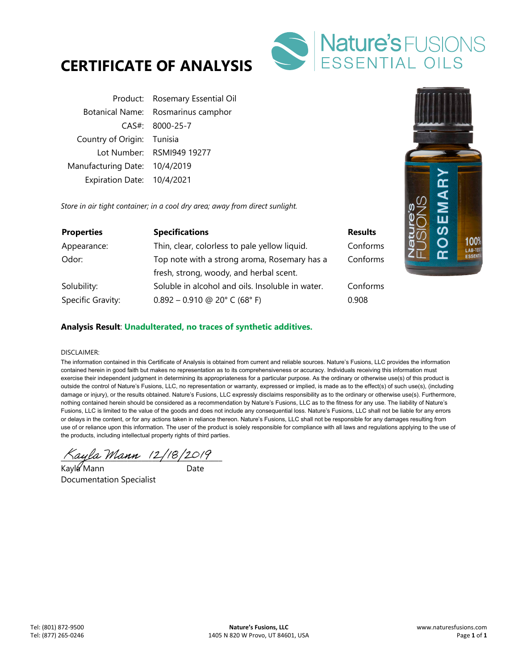



Product: Rosemary Essential Oil Botanical Name: Rosmarinus camphor CAS#: 8000-25-7 Country of Origin: Tunisia Lot Number: RSMI949 19277 Manufacturing Date: 10/4/2019 Expiration Date: 10/4/2021

*Store in air tight container; in a cool dry area; away from direct sunlight.* 

| <b>Properties</b> | <b>Specifications</b>                            | <b>Results</b> |
|-------------------|--------------------------------------------------|----------------|
| Appearance:       | Thin, clear, colorless to pale yellow liquid.    | Conforms       |
| Odor:             | Top note with a strong aroma, Rosemary has a     | Conforms       |
|                   | fresh, strong, woody, and herbal scent.          |                |
| Solubility:       | Soluble in alcohol and oils. Insoluble in water. | Conforms       |
| Specific Gravity: | $0.892 - 0.910$ @ 20° C (68° F)                  | 0.908          |

## **Analysis Result**: **Unadulterated, no traces of synthetic additives.**

## DISCLAIMER:

The information contained in this Certificate of Analysis is obtained from current and reliable sources. Nature's Fusions, LLC provides the information contained herein in good faith but makes no representation as to its comprehensiveness or accuracy. Individuals receiving this information must exercise their independent judgment in determining its appropriateness for a particular purpose. As the ordinary or otherwise use(s) of this product is outside the control of Nature's Fusions, LLC, no representation or warranty, expressed or implied, is made as to the effect(s) of such use(s), (including damage or injury), or the results obtained. Nature's Fusions, LLC expressly disclaims responsibility as to the ordinary or otherwise use(s). Furthermore, nothing contained herein should be considered as a recommendation by Nature's Fusions, LLC as to the fitness for any use. The liability of Nature's Fusions, LLC is limited to the value of the goods and does not include any consequential loss. Nature's Fusions, LLC shall not be liable for any errors or delays in the content, or for any actions taken in reliance thereon. Nature's Fusions, LLC shall not be responsible for any damages resulting from use of or reliance upon this information. The user of the product is solely responsible for compliance with all laws and regulations applying to the use of the products, including intellectual property rights of third parties.

 $\sqrt{2}$ ula Mann 12/18/2019

Kayl**a** Mann Date Documentation Specialist

100% LAB-TES<br>ESSENTI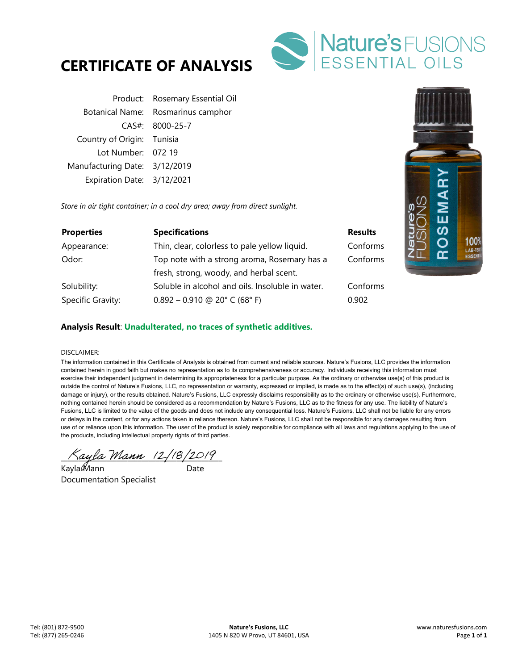



|                               | Product: Rosemary Essential Oil    |
|-------------------------------|------------------------------------|
|                               | Botanical Name: Rosmarinus camphor |
|                               | CAS#: 8000-25-7                    |
| Country of Origin: Tunisia    |                                    |
| Lot Number: 072 19            |                                    |
| Manufacturing Date: 3/12/2019 |                                    |
| Expiration Date: 3/12/2021    |                                    |

*Store in air tight container; in a cool dry area; away from direct sunlight.* 

| <b>Properties</b> | <b>Specifications</b>                            | <b>Results</b> |
|-------------------|--------------------------------------------------|----------------|
| Appearance:       | Thin, clear, colorless to pale yellow liquid.    | Conforms       |
| Odor:             | Top note with a strong aroma, Rosemary has a     | Conforms       |
|                   | fresh, strong, woody, and herbal scent.          |                |
| Solubility:       | Soluble in alcohol and oils. Insoluble in water. | Conforms       |
| Specific Gravity: | $0.892 - 0.910$ @ 20° C (68° F)                  | 0.902          |



# **Analysis Result**: **Unadulterated, no traces of synthetic additives.**

### DISCLAIMER:

The information contained in this Certificate of Analysis is obtained from current and reliable sources. Nature's Fusions, LLC provides the information contained herein in good faith but makes no representation as to its comprehensiveness or accuracy. Individuals receiving this information must exercise their independent judgment in determining its appropriateness for a particular purpose. As the ordinary or otherwise use(s) of this product is outside the control of Nature's Fusions, LLC, no representation or warranty, expressed or implied, is made as to the effect(s) of such use(s), (including damage or injury), or the results obtained. Nature's Fusions, LLC expressly disclaims responsibility as to the ordinary or otherwise use(s). Furthermore, nothing contained herein should be considered as a recommendation by Nature's Fusions, LLC as to the fitness for any use. The liability of Nature's Fusions, LLC is limited to the value of the goods and does not include any consequential loss. Nature's Fusions, LLC shall not be liable for any errors or delays in the content, or for any actions taken in reliance thereon. Nature's Fusions, LLC shall not be responsible for any damages resulting from use of or reliance upon this information. The user of the product is solely responsible for compliance with all laws and regulations applying to the use of the products, including intellectual property rights of third parties.

 $\land$ ayla Mann (2/18/2019)

Kayla��lann Date Documentation Specialist